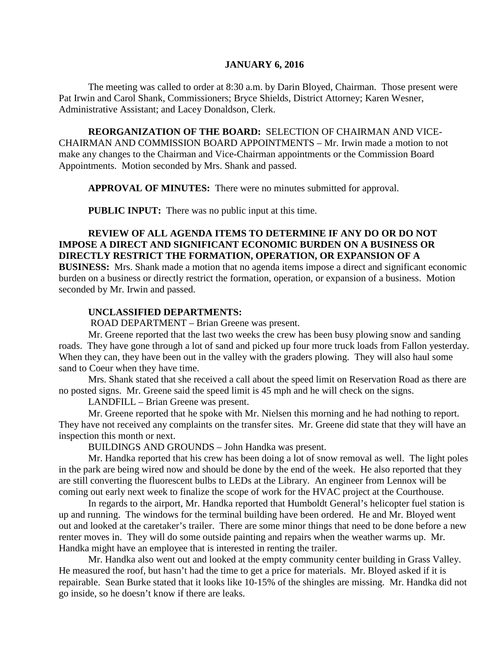#### **JANUARY 6, 2016**

The meeting was called to order at 8:30 a.m. by Darin Bloyed, Chairman. Those present were Pat Irwin and Carol Shank, Commissioners; Bryce Shields, District Attorney; Karen Wesner, Administrative Assistant; and Lacey Donaldson, Clerk.

**REORGANIZATION OF THE BOARD:** SELECTION OF CHAIRMAN AND VICE-CHAIRMAN AND COMMISSION BOARD APPOINTMENTS – Mr. Irwin made a motion to not make any changes to the Chairman and Vice-Chairman appointments or the Commission Board Appointments. Motion seconded by Mrs. Shank and passed.

**APPROVAL OF MINUTES:** There were no minutes submitted for approval.

 **PUBLIC INPUT:** There was no public input at this time.

## **REVIEW OF ALL AGENDA ITEMS TO DETERMINE IF ANY DO OR DO NOT IMPOSE A DIRECT AND SIGNIFICANT ECONOMIC BURDEN ON A BUSINESS OR DIRECTLY RESTRICT THE FORMATION, OPERATION, OR EXPANSION OF A**

**BUSINESS:** Mrs. Shank made a motion that no agenda items impose a direct and significant economic burden on a business or directly restrict the formation, operation, or expansion of a business. Motion seconded by Mr. Irwin and passed.

#### **UNCLASSIFIED DEPARTMENTS:**

ROAD DEPARTMENT – Brian Greene was present.

Mr. Greene reported that the last two weeks the crew has been busy plowing snow and sanding roads. They have gone through a lot of sand and picked up four more truck loads from Fallon yesterday. When they can, they have been out in the valley with the graders plowing. They will also haul some sand to Coeur when they have time.

Mrs. Shank stated that she received a call about the speed limit on Reservation Road as there are no posted signs. Mr. Greene said the speed limit is 45 mph and he will check on the signs.

LANDFILL – Brian Greene was present.

Mr. Greene reported that he spoke with Mr. Nielsen this morning and he had nothing to report. They have not received any complaints on the transfer sites. Mr. Greene did state that they will have an inspection this month or next.

BUILDINGS AND GROUNDS – John Handka was present.

Mr. Handka reported that his crew has been doing a lot of snow removal as well. The light poles in the park are being wired now and should be done by the end of the week. He also reported that they are still converting the fluorescent bulbs to LEDs at the Library. An engineer from Lennox will be coming out early next week to finalize the scope of work for the HVAC project at the Courthouse.

In regards to the airport, Mr. Handka reported that Humboldt General's helicopter fuel station is up and running. The windows for the terminal building have been ordered. He and Mr. Bloyed went out and looked at the caretaker's trailer. There are some minor things that need to be done before a new renter moves in. They will do some outside painting and repairs when the weather warms up. Mr. Handka might have an employee that is interested in renting the trailer.

Mr. Handka also went out and looked at the empty community center building in Grass Valley. He measured the roof, but hasn't had the time to get a price for materials. Mr. Bloyed asked if it is repairable. Sean Burke stated that it looks like 10-15% of the shingles are missing. Mr. Handka did not go inside, so he doesn't know if there are leaks.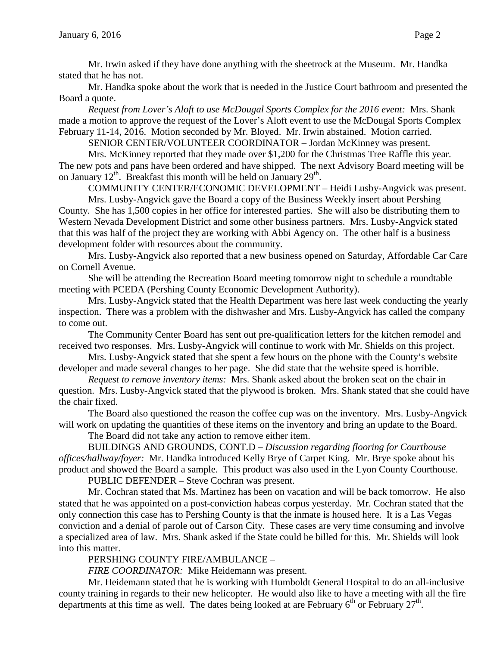Mr. Irwin asked if they have done anything with the sheetrock at the Museum. Mr. Handka stated that he has not.

Mr. Handka spoke about the work that is needed in the Justice Court bathroom and presented the Board a quote.

*Request from Lover's Aloft to use McDougal Sports Complex for the 2016 event:* Mrs. Shank made a motion to approve the request of the Lover's Aloft event to use the McDougal Sports Complex February 11-14, 2016. Motion seconded by Mr. Bloyed. Mr. Irwin abstained. Motion carried.

SENIOR CENTER/VOLUNTEER COORDINATOR – Jordan McKinney was present.

Mrs. McKinney reported that they made over \$1,200 for the Christmas Tree Raffle this year. The new pots and pans have been ordered and have shipped. The next Advisory Board meeting will be on January  $12^{th}$ . Breakfast this month will be held on January  $29^{th}$ .

COMMUNITY CENTER/ECONOMIC DEVELOPMENT – Heidi Lusby-Angvick was present.

Mrs. Lusby-Angvick gave the Board a copy of the Business Weekly insert about Pershing County. She has 1,500 copies in her office for interested parties. She will also be distributing them to Western Nevada Development District and some other business partners. Mrs. Lusby-Angvick stated that this was half of the project they are working with Abbi Agency on. The other half is a business development folder with resources about the community.

Mrs. Lusby-Angvick also reported that a new business opened on Saturday, Affordable Car Care on Cornell Avenue.

She will be attending the Recreation Board meeting tomorrow night to schedule a roundtable meeting with PCEDA (Pershing County Economic Development Authority).

Mrs. Lusby-Angvick stated that the Health Department was here last week conducting the yearly inspection. There was a problem with the dishwasher and Mrs. Lusby-Angvick has called the company to come out.

The Community Center Board has sent out pre-qualification letters for the kitchen remodel and received two responses. Mrs. Lusby-Angvick will continue to work with Mr. Shields on this project.

Mrs. Lusby-Angvick stated that she spent a few hours on the phone with the County's website developer and made several changes to her page. She did state that the website speed is horrible.

*Request to remove inventory items:* Mrs. Shank asked about the broken seat on the chair in question. Mrs. Lusby-Angvick stated that the plywood is broken. Mrs. Shank stated that she could have the chair fixed.

The Board also questioned the reason the coffee cup was on the inventory. Mrs. Lusby-Angvick will work on updating the quantities of these items on the inventory and bring an update to the Board.

The Board did not take any action to remove either item.

BUILDINGS AND GROUNDS, CONT.D – *Discussion regarding flooring for Courthouse offices/hallway/foyer:* Mr. Handka introduced Kelly Brye of Carpet King. Mr. Brye spoke about his product and showed the Board a sample. This product was also used in the Lyon County Courthouse.

PUBLIC DEFENDER – Steve Cochran was present.

Mr. Cochran stated that Ms. Martinez has been on vacation and will be back tomorrow. He also stated that he was appointed on a post-conviction habeas corpus yesterday. Mr. Cochran stated that the only connection this case has to Pershing County is that the inmate is housed here. It is a Las Vegas conviction and a denial of parole out of Carson City. These cases are very time consuming and involve a specialized area of law. Mrs. Shank asked if the State could be billed for this. Mr. Shields will look into this matter.

PERSHING COUNTY FIRE/AMBULANCE –

*FIRE COORDINATOR:* Mike Heidemann was present.

Mr. Heidemann stated that he is working with Humboldt General Hospital to do an all-inclusive county training in regards to their new helicopter. He would also like to have a meeting with all the fire departments at this time as well. The dates being looked at are February  $6<sup>th</sup>$  or February  $27<sup>th</sup>$ .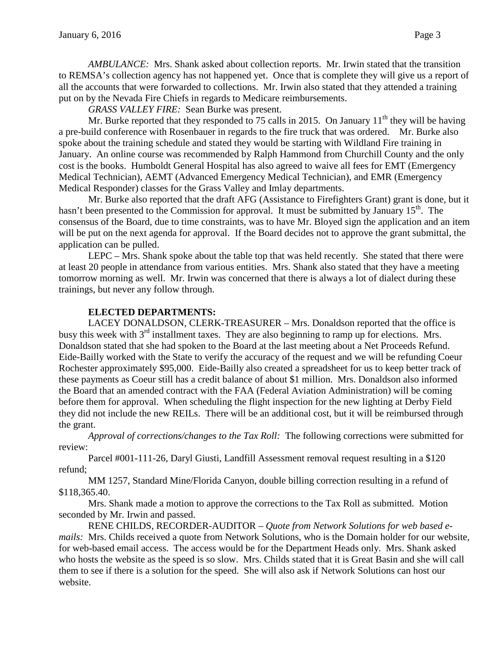*AMBULANCE:* Mrs. Shank asked about collection reports. Mr. Irwin stated that the transition to REMSA's collection agency has not happened yet. Once that is complete they will give us a report of all the accounts that were forwarded to collections. Mr. Irwin also stated that they attended a training put on by the Nevada Fire Chiefs in regards to Medicare reimbursements.

*GRASS VALLEY FIRE:* Sean Burke was present.

Mr. Burke reported that they responded to 75 calls in 2015. On January  $11<sup>th</sup>$  they will be having a pre-build conference with Rosenbauer in regards to the fire truck that was ordered. Mr. Burke also spoke about the training schedule and stated they would be starting with Wildland Fire training in January. An online course was recommended by Ralph Hammond from Churchill County and the only cost is the books. Humboldt General Hospital has also agreed to waive all fees for EMT (Emergency Medical Technician), AEMT (Advanced Emergency Medical Technician), and EMR (Emergency Medical Responder) classes for the Grass Valley and Imlay departments.

Mr. Burke also reported that the draft AFG (Assistance to Firefighters Grant) grant is done, but it hasn't been presented to the Commission for approval. It must be submitted by January  $15<sup>th</sup>$ . The consensus of the Board, due to time constraints, was to have Mr. Bloyed sign the application and an item will be put on the next agenda for approval. If the Board decides not to approve the grant submittal, the application can be pulled.

LEPC – Mrs. Shank spoke about the table top that was held recently. She stated that there were at least 20 people in attendance from various entities. Mrs. Shank also stated that they have a meeting tomorrow morning as well. Mr. Irwin was concerned that there is always a lot of dialect during these trainings, but never any follow through.

## **ELECTED DEPARTMENTS:**

LACEY DONALDSON, CLERK-TREASURER – Mrs. Donaldson reported that the office is busy this week with  $3<sup>rd</sup>$  installment taxes. They are also beginning to ramp up for elections. Mrs. Donaldson stated that she had spoken to the Board at the last meeting about a Net Proceeds Refund. Eide-Bailly worked with the State to verify the accuracy of the request and we will be refunding Coeur Rochester approximately \$95,000. Eide-Bailly also created a spreadsheet for us to keep better track of these payments as Coeur still has a credit balance of about \$1 million. Mrs. Donaldson also informed the Board that an amended contract with the FAA (Federal Aviation Administration) will be coming before them for approval. When scheduling the flight inspection for the new lighting at Derby Field they did not include the new REILs. There will be an additional cost, but it will be reimbursed through the grant.

*Approval of corrections/changes to the Tax Roll:* The following corrections were submitted for review:

Parcel #001-111-26, Daryl Giusti, Landfill Assessment removal request resulting in a \$120 refund;

MM 1257, Standard Mine/Florida Canyon, double billing correction resulting in a refund of \$118,365.40.

Mrs. Shank made a motion to approve the corrections to the Tax Roll as submitted. Motion seconded by Mr. Irwin and passed.

RENE CHILDS, RECORDER-AUDITOR – *Quote from Network Solutions for web based emails:* Mrs. Childs received a quote from Network Solutions, who is the Domain holder for our website, for web-based email access. The access would be for the Department Heads only. Mrs. Shank asked who hosts the website as the speed is so slow. Mrs. Childs stated that it is Great Basin and she will call them to see if there is a solution for the speed. She will also ask if Network Solutions can host our website.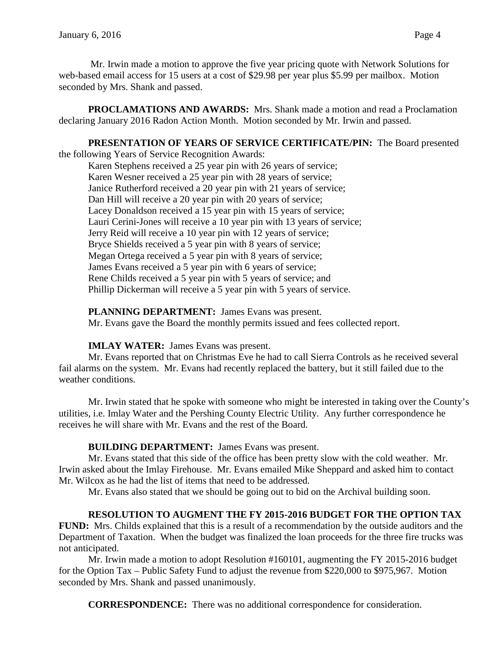Mr. Irwin made a motion to approve the five year pricing quote with Network Solutions for web-based email access for 15 users at a cost of \$29.98 per year plus \$5.99 per mailbox. Motion seconded by Mrs. Shank and passed.

**PROCLAMATIONS AND AWARDS:** Mrs. Shank made a motion and read a Proclamation declaring January 2016 Radon Action Month. Motion seconded by Mr. Irwin and passed.

# **PRESENTATION OF YEARS OF SERVICE CERTIFICATE/PIN:** The Board presented

the following Years of Service Recognition Awards:

Karen Stephens received a 25 year pin with 26 years of service; Karen Wesner received a 25 year pin with 28 years of service; Janice Rutherford received a 20 year pin with 21 years of service; Dan Hill will receive a 20 year pin with 20 years of service; Lacey Donaldson received a 15 year pin with 15 years of service; Lauri Cerini-Jones will receive a 10 year pin with 13 years of service; Jerry Reid will receive a 10 year pin with 12 years of service; Bryce Shields received a 5 year pin with 8 years of service; Megan Ortega received a 5 year pin with 8 years of service; James Evans received a 5 year pin with 6 years of service; Rene Childs received a 5 year pin with 5 years of service; and Phillip Dickerman will receive a 5 year pin with 5 years of service.

## **PLANNING DEPARTMENT:** James Evans was present.

Mr. Evans gave the Board the monthly permits issued and fees collected report.

# **IMLAY WATER:** James Evans was present.

Mr. Evans reported that on Christmas Eve he had to call Sierra Controls as he received several fail alarms on the system. Mr. Evans had recently replaced the battery, but it still failed due to the weather conditions.

Mr. Irwin stated that he spoke with someone who might be interested in taking over the County's utilities, i.e. Imlay Water and the Pershing County Electric Utility. Any further correspondence he receives he will share with Mr. Evans and the rest of the Board.

# **BUILDING DEPARTMENT:** James Evans was present.

Mr. Evans stated that this side of the office has been pretty slow with the cold weather. Mr. Irwin asked about the Imlay Firehouse. Mr. Evans emailed Mike Sheppard and asked him to contact Mr. Wilcox as he had the list of items that need to be addressed.

Mr. Evans also stated that we should be going out to bid on the Archival building soon.

# **RESOLUTION TO AUGMENT THE FY 2015-2016 BUDGET FOR THE OPTION TAX**

**FUND:** Mrs. Childs explained that this is a result of a recommendation by the outside auditors and the Department of Taxation. When the budget was finalized the loan proceeds for the three fire trucks was not anticipated.

Mr. Irwin made a motion to adopt Resolution #160101, augmenting the FY 2015-2016 budget for the Option Tax – Public Safety Fund to adjust the revenue from \$220,000 to \$975,967. Motion seconded by Mrs. Shank and passed unanimously.

**CORRESPONDENCE:** There was no additional correspondence for consideration.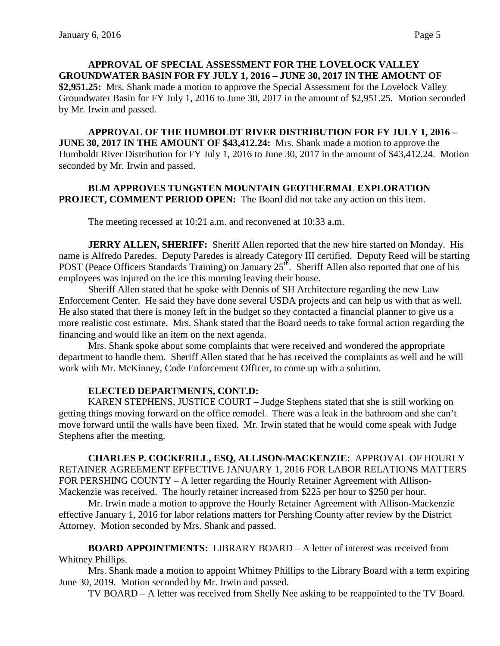**APPROVAL OF SPECIAL ASSESSMENT FOR THE LOVELOCK VALLEY GROUNDWATER BASIN FOR FY JULY 1, 2016 – JUNE 30, 2017 IN THE AMOUNT OF \$2,951.25:** Mrs. Shank made a motion to approve the Special Assessment for the Lovelock Valley Groundwater Basin for FY July 1, 2016 to June 30, 2017 in the amount of \$2,951.25. Motion seconded by Mr. Irwin and passed.

**APPROVAL OF THE HUMBOLDT RIVER DISTRIBUTION FOR FY JULY 1, 2016 – JUNE 30, 2017 IN THE AMOUNT OF \$43,412.24:** Mrs. Shank made a motion to approve the Humboldt River Distribution for FY July 1, 2016 to June 30, 2017 in the amount of \$43,412.24. Motion seconded by Mr. Irwin and passed.

### **BLM APPROVES TUNGSTEN MOUNTAIN GEOTHERMAL EXPLORATION PROJECT, COMMENT PERIOD OPEN:** The Board did not take any action on this item.

The meeting recessed at 10:21 a.m. and reconvened at 10:33 a.m.

**JERRY ALLEN, SHERIFF:** Sheriff Allen reported that the new hire started on Monday. His name is Alfredo Paredes. Deputy Paredes is already Category III certified. Deputy Reed will be starting POST (Peace Officers Standards Training) on January  $25<sup>th</sup>$ . Sheriff Allen also reported that one of his employees was injured on the ice this morning leaving their house.

Sheriff Allen stated that he spoke with Dennis of SH Architecture regarding the new Law Enforcement Center. He said they have done several USDA projects and can help us with that as well. He also stated that there is money left in the budget so they contacted a financial planner to give us a more realistic cost estimate. Mrs. Shank stated that the Board needs to take formal action regarding the financing and would like an item on the next agenda.

Mrs. Shank spoke about some complaints that were received and wondered the appropriate department to handle them. Sheriff Allen stated that he has received the complaints as well and he will work with Mr. McKinney, Code Enforcement Officer, to come up with a solution.

#### **ELECTED DEPARTMENTS, CONT.D:**

KAREN STEPHENS, JUSTICE COURT – Judge Stephens stated that she is still working on getting things moving forward on the office remodel. There was a leak in the bathroom and she can't move forward until the walls have been fixed. Mr. Irwin stated that he would come speak with Judge Stephens after the meeting.

**CHARLES P. COCKERILL, ESQ, ALLISON-MACKENZIE:** APPROVAL OF HOURLY RETAINER AGREEMENT EFFECTIVE JANUARY 1, 2016 FOR LABOR RELATIONS MATTERS FOR PERSHING COUNTY – A letter regarding the Hourly Retainer Agreement with Allison-Mackenzie was received. The hourly retainer increased from \$225 per hour to \$250 per hour.

Mr. Irwin made a motion to approve the Hourly Retainer Agreement with Allison-Mackenzie effective January 1, 2016 for labor relations matters for Pershing County after review by the District Attorney. Motion seconded by Mrs. Shank and passed.

**BOARD APPOINTMENTS:** LIBRARY BOARD – A letter of interest was received from Whitney Phillips.

Mrs. Shank made a motion to appoint Whitney Phillips to the Library Board with a term expiring June 30, 2019. Motion seconded by Mr. Irwin and passed.

TV BOARD – A letter was received from Shelly Nee asking to be reappointed to the TV Board.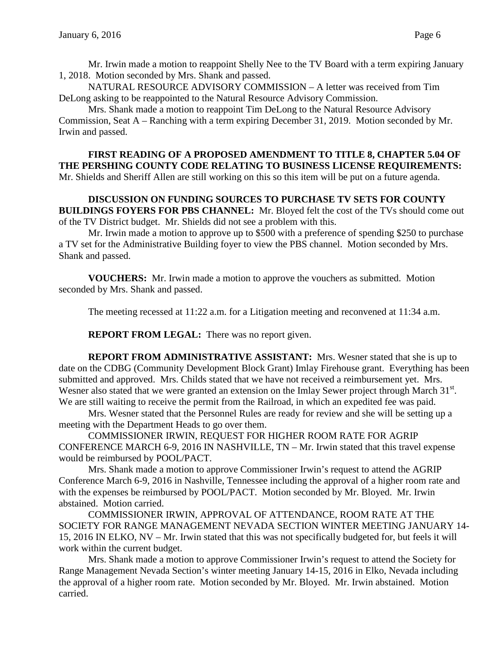Mr. Irwin made a motion to reappoint Shelly Nee to the TV Board with a term expiring January 1, 2018. Motion seconded by Mrs. Shank and passed.

NATURAL RESOURCE ADVISORY COMMISSION – A letter was received from Tim DeLong asking to be reappointed to the Natural Resource Advisory Commission.

Mrs. Shank made a motion to reappoint Tim DeLong to the Natural Resource Advisory Commission, Seat A – Ranching with a term expiring December 31, 2019. Motion seconded by Mr. Irwin and passed.

**FIRST READING OF A PROPOSED AMENDMENT TO TITLE 8, CHAPTER 5.04 OF THE PERSHING COUNTY CODE RELATING TO BUSINESS LICENSE REQUIREMENTS:**  Mr. Shields and Sheriff Allen are still working on this so this item will be put on a future agenda.

## **DISCUSSION ON FUNDING SOURCES TO PURCHASE TV SETS FOR COUNTY BUILDINGS FOYERS FOR PBS CHANNEL:** Mr. Bloyed felt the cost of the TVs should come out of the TV District budget. Mr. Shields did not see a problem with this.

Mr. Irwin made a motion to approve up to \$500 with a preference of spending \$250 to purchase a TV set for the Administrative Building foyer to view the PBS channel. Motion seconded by Mrs. Shank and passed.

**VOUCHERS:** Mr. Irwin made a motion to approve the vouchers as submitted. Motion seconded by Mrs. Shank and passed.

The meeting recessed at 11:22 a.m. for a Litigation meeting and reconvened at 11:34 a.m.

**REPORT FROM LEGAL:** There was no report given.

**REPORT FROM ADMINISTRATIVE ASSISTANT:** Mrs. Wesner stated that she is up to date on the CDBG (Community Development Block Grant) Imlay Firehouse grant. Everything has been submitted and approved. Mrs. Childs stated that we have not received a reimbursement yet. Mrs. Wesner also stated that we were granted an extension on the Imlay Sewer project through March 31<sup>st</sup>. We are still waiting to receive the permit from the Railroad, in which an expedited fee was paid.

Mrs. Wesner stated that the Personnel Rules are ready for review and she will be setting up a meeting with the Department Heads to go over them.

COMMISSIONER IRWIN, REQUEST FOR HIGHER ROOM RATE FOR AGRIP CONFERENCE MARCH 6-9, 2016 IN NASHVILLE, TN – Mr. Irwin stated that this travel expense would be reimbursed by POOL/PACT.

Mrs. Shank made a motion to approve Commissioner Irwin's request to attend the AGRIP Conference March 6-9, 2016 in Nashville, Tennessee including the approval of a higher room rate and with the expenses be reimbursed by POOL/PACT. Motion seconded by Mr. Bloyed. Mr. Irwin abstained. Motion carried.

COMMISSIONER IRWIN, APPROVAL OF ATTENDANCE, ROOM RATE AT THE SOCIETY FOR RANGE MANAGEMENT NEVADA SECTION WINTER MEETING JANUARY 14- 15, 2016 IN ELKO, NV – Mr. Irwin stated that this was not specifically budgeted for, but feels it will work within the current budget.

Mrs. Shank made a motion to approve Commissioner Irwin's request to attend the Society for Range Management Nevada Section's winter meeting January 14-15, 2016 in Elko, Nevada including the approval of a higher room rate. Motion seconded by Mr. Bloyed. Mr. Irwin abstained. Motion carried.